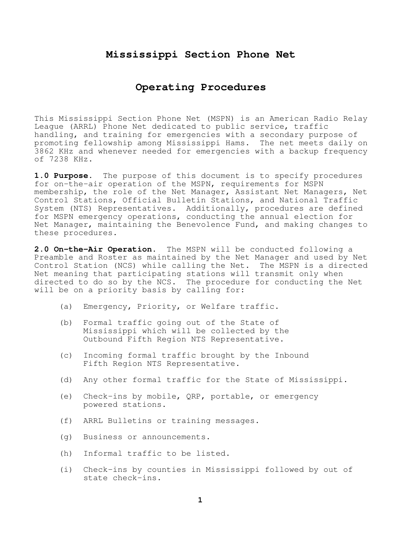## **Mississippi Section Phone Net**

## **Operating Procedures**

This Mississippi Section Phone Net (MSPN) is an American Radio Relay League (ARRL) Phone Net dedicated to public service, traffic handling, and training for emergencies with a secondary purpose of promoting fellowship among Mississippi Hams. The net meets daily on 3862 KHz and whenever needed for emergencies with a backup frequency of 7238 KHz.

**1.0 Purpose**. The purpose of this document is to specify procedures for on-the-air operation of the MSPN, requirements for MSPN membership, the role of the Net Manager, Assistant Net Managers, Net Control Stations, Official Bulletin Stations, and National Traffic System (NTS) Representatives. Additionally, procedures are defined for MSPN emergency operations, conducting the annual election for Net Manager, maintaining the Benevolence Fund, and making changes to these procedures.

**2.0 On-the-Air Operation.** The MSPN will be conducted following a Preamble and Roster as maintained by the Net Manager and used by Net Control Station (NCS) while calling the Net. The MSPN is a directed Net meaning that participating stations will transmit only when directed to do so by the NCS. The procedure for conducting the Net will be on a priority basis by calling for:

- (a) Emergency, Priority, or Welfare traffic.
- (b) Formal traffic going out of the State of Mississippi which will be collected by the Outbound Fifth Region NTS Representative.
- (c) Incoming formal traffic brought by the Inbound Fifth Region NTS Representative.
- (d) Any other formal traffic for the State of Mississippi.
- (e) Check-ins by mobile, QRP, portable, or emergency powered stations.
- (f) ARRL Bulletins or training messages.
- (g) Business or announcements.
- (h) Informal traffic to be listed.
- (i) Check-ins by counties in Mississippi followed by out of state check-ins.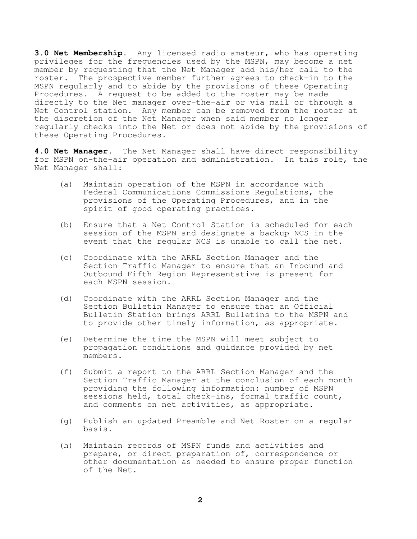**3.0 Net Membership.** Any licensed radio amateur, who has operating privileges for the frequencies used by the MSPN, may become a net member by requesting that the Net Manager add his/her call to the roster. The prospective member further agrees to check-in to the MSPN regularly and to abide by the provisions of these Operating Procedures. A request to be added to the roster may be made directly to the Net manager over-the-air or via mail or through a Net Control station. Any member can be removed from the roster at the discretion of the Net Manager when said member no longer regularly checks into the Net or does not abide by the provisions of these Operating Procedures.

**4.0 Net Manager.** The Net Manager shall have direct responsibility for MSPN on-the-air operation and administration. In this role, the Net Manager shall:

- (a) Maintain operation of the MSPN in accordance with Federal Communications Commissions Regulations, the provisions of the Operating Procedures, and in the spirit of good operating practices.
- (b) Ensure that a Net Control Station is scheduled for each session of the MSPN and designate a backup NCS in the event that the regular NCS is unable to call the net.
- (c) Coordinate with the ARRL Section Manager and the Section Traffic Manager to ensure that an Inbound and Outbound Fifth Region Representative is present for each MSPN session.
- (d) Coordinate with the ARRL Section Manager and the Section Bulletin Manager to ensure that an Official Bulletin Station brings ARRL Bulletins to the MSPN and to provide other timely information, as appropriate.
- (e) Determine the time the MSPN will meet subject to propagation conditions and guidance provided by net members.
- (f) Submit a report to the ARRL Section Manager and the Section Traffic Manager at the conclusion of each month providing the following information: number of MSPN sessions held, total check-ins, formal traffic count, and comments on net activities, as appropriate.
- (g) Publish an updated Preamble and Net Roster on a regular basis.
- (h) Maintain records of MSPN funds and activities and prepare, or direct preparation of, correspondence or other documentation as needed to ensure proper function of the Net.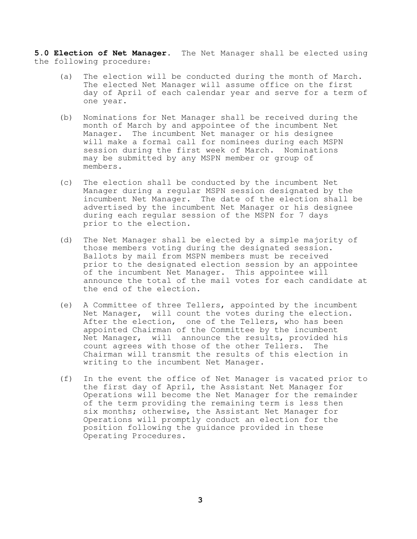**5.0 Election of Net Manager.** The Net Manager shall be elected using the following procedure:

- (a) The election will be conducted during the month of March. The elected Net Manager will assume office on the first day of April of each calendar year and serve for a term of one year.
- (b) Nominations for Net Manager shall be received during the month of March by and appointee of the incumbent Net Manager. The incumbent Net manager or his designee will make a formal call for nominees during each MSPN session during the first week of March. Nominations may be submitted by any MSPN member or group of members.
- (c) The election shall be conducted by the incumbent Net Manager during a regular MSPN session designated by the incumbent Net Manager. The date of the election shall be advertised by the incumbent Net Manager or his designee during each regular session of the MSPN for 7 days prior to the election.
- (d) The Net Manager shall be elected by a simple majority of those members voting during the designated session. Ballots by mail from MSPN members must be received prior to the designated election session by an appointee of the incumbent Net Manager. This appointee will announce the total of the mail votes for each candidate at the end of the election.
- (e) A Committee of three Tellers, appointed by the incumbent Net Manager, will count the votes during the election. After the election, one of the Tellers, who has been appointed Chairman of the Committee by the incumbent Net Manager, will announce the results, provided his count agrees with those of the other Tellers. The Chairman will transmit the results of this election in writing to the incumbent Net Manager.
- (f) In the event the office of Net Manager is vacated prior to the first day of April, the Assistant Net Manager for Operations will become the Net Manager for the remainder of the term providing the remaining term is less then six months; otherwise, the Assistant Net Manager for Operations will promptly conduct an election for the position following the guidance provided in these Operating Procedures.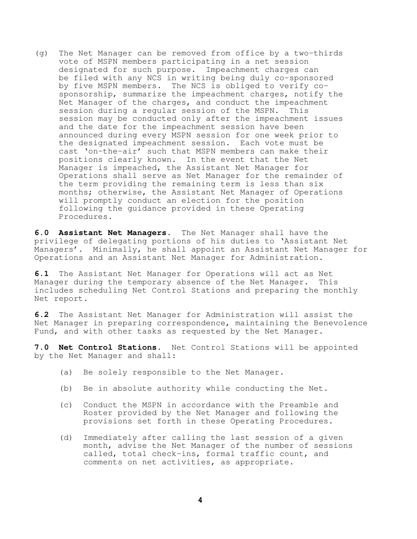(g) The Net Manager can be removed from office by a two-thirds vote of MSPN members participating in a net session designated for such purpose. Impeachment charges can be filed with any NCS in writing being duly co-sponsored by five MSPN members. The NCS is obliged to verify co sponsorship, summarize the impeachment charges, notify the Net Manager of the charges, and conduct the impeachment session during a regular session of the MSPN. This session may be conducted only after the impeachment issues and the date for the impeachment session have been announced during every MSPN session for one week prior to the designated impeachment session. Each vote must be cast 'on-the-air' such that MSPN members can make their positions clearly known. In the event that the Net Manager is impeached, the Assistant Net Manager for Operations shall serve as Net Manager for the remainder of the term providing the remaining term is less than six months; otherwise, the Assistant Net Manager of Operations will promptly conduct an election for the position following the guidance provided in these Operating Procedures.

**6.0 Assistant Net Managers.** The Net Manager shall have the privilege of delegating portions of his duties to 'Assistant Net Managers'. Minimally, he shall appoint an Assistant Net Manager for Operations and an Assistant Net Manager for Administration.

**6.1** The Assistant Net Manager for Operations will act as Net Manager during the temporary absence of the Net Manager. This includes scheduling Net Control Stations and preparing the monthly Net report.

**6.2** The Assistant Net Manager for Administration will assist the Net Manager in preparing correspondence, maintaining the Benevolence Fund, and with other tasks as requested by the Net Manager.

**7.0 Net Control Stations.** Net Control Stations will be appointed by the Net Manager and shall:

- (a) Be solely responsible to the Net Manager.
- (b) Be in absolute authority while conducting the Net.
- (c) Conduct the MSPN in accordance with the Preamble and Roster provided by the Net Manager and following the provisions set forth in these Operating Procedures.
- (d) Immediately after calling the last session of a given month, advise the Net Manager of the number of sessions called, total check-ins, formal traffic count, and comments on net activities, as appropriate.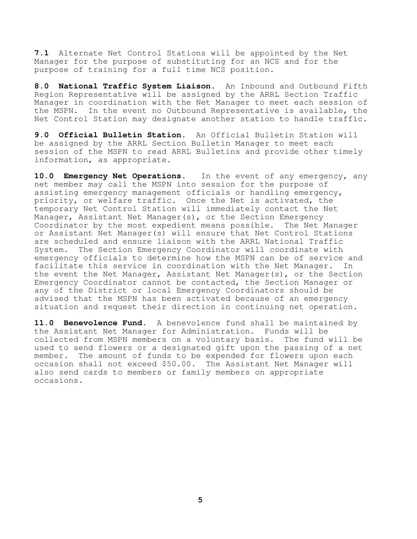**7.1** Alternate Net Control Stations will be appointed by the Net Manager for the purpose of substituting for an NCS and for the purpose of training for a full time NCS position.

**8.0 National Traffic System Liaison.** An Inbound and Outbound Fifth Region Representative will be assigned by the ARRL Section Traffic Manager in coordination with the Net Manager to meet each session of the MSPN. In the event no Outbound Representative is available, the Net Control Station may designate another station to handle traffic.

**9.0 Official Bulletin Station.** An Official Bulletin Station will be assigned by the ARRL Section Bulletin Manager to meet each session of the MSPN to read ARRL Bulletins and provide other timely information, as appropriate.

**10.0 Emergency Net Operations.** In the event of any emergency, any net member may call the MSPN into session for the purpose of assisting emergency management officials or handling emergency, priority, or welfare traffic. Once the Net is activated, the temporary Net Control Station will immediately contact the Net Manager, Assistant Net Manager(s), or the Section Emergency Coordinator by the most expedient means possible. The Net Manager or Assistant Net Manager(s) will ensure that Net Control Stations are scheduled and ensure liaison with the ARRL National Traffic System. The Section Emergency Coordinator will coordinate with emergency officials to determine how the MSPN can be of service and facilitate this service in coordination with the Net Manager. In the event the Net Manager, Assistant Net Manager(s), or the Section Emergency Coordinator cannot be contacted, the Section Manager or any of the District or local Emergency Coordinators should be advised that the MSPN has been activated because of an emergency situation and request their direction in continuing net operation.

**11.0 Benevolence Fund.** A benevolence fund shall be maintained by the Assistant Net Manager for Administration. Funds will be collected from MSPN members on a voluntary basis. The fund will be used to send flowers or a designated gift upon the passing of a net member. The amount of funds to be expended for flowers upon each occasion shall not exceed \$50.00. The Assistant Net Manager will also send cards to members or family members on appropriate occasions.